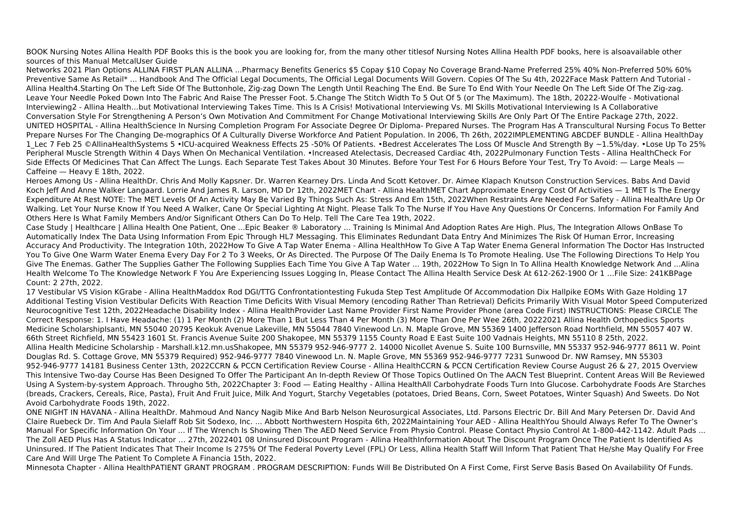BOOK Nursing Notes Allina Health PDF Books this is the book you are looking for, from the many other titlesof Nursing Notes Allina Health PDF books, here is alsoavailable other sources of this Manual MetcalUser Guide

Networks 2021 Plan Options ALLINA FIRST PLAN ALLINA ...Pharmacy Benefits Generics \$5 Copay \$10 Copay No Coverage Brand-Name Preferred 25% 40% Non-Preferred 50% 60% Preventive Same As Retail\* ... Handbook And The Official Legal Documents, The Official Legal Documents Will Govern. Copies Of The Su 4th, 2022Face Mask Pattern And Tutorial - Allina Health4.Starting On The Left Side Of The Buttonhole, Zig-zag Down The Length Until Reaching The End. Be Sure To End With Your Needle On The Left Side Of The Zig-zag. Leave Your Needle Poked Down Into The Fabric And Raise The Presser Foot. 5.Change The Stitch Width To 5 Out Of 5 (or The Maximum). The 18th, 20222-Woulfe - Motivational Interviewing2 - Allina Health…but Motivational Interviewing Takes Time. This Is A Crisis! Motivational Interviewing Vs. MI Skills Motivational Interviewing Is A Collaborative Conversation Style For Strengthening A Person's Own Motivation And Commitment For Change Motivational Interviewing Skills Are Only Part Of The Entire Package 27th, 2022. UNITED HOSPITAL - Allina HealthScience In Nursing Completion Program For Associate Degree Or Diploma- Prepared Nurses. The Program Has A Transcultural Nursing Focus To Better Prepare Nurses For The Changing De-mographics Of A Culturally Diverse Workforce And Patient Population. In 2006, Th 26th, 2022IMPLEMENTING ABCDEF BUNDLE - Allina HealthDay 1 Lec 7 Feb 25 ©AllinaHealthSystems 5 •ICU-acquired Weakness Effects 25 -50% Of Patients. •Bedrest Accelerates The Loss Of Muscle And Strength By ~1.5%/day. •Lose Up To 25% Peripheral Muscle Strength Within 4 Days When On Mechanical Ventilation. •Increased Atelectasis, Decreased Cardiac 4th, 2022Pulmonary Function Tests - Allina HealthCheck For Side Effects Of Medicines That Can Affect The Lungs. Each Separate Test Takes About 30 Minutes. Before Your Test For 6 Hours Before Your Test, Try To Avoid: — Large Meals — Caffeine — Heavy E 18th, 2022.

Heroes Among Us - Allina HealthDr. Chris And Molly Kapsner. Dr. Warren Kearney Drs. Linda And Scott Ketover. Dr. Aimee Klapach Knutson Construction Services. Babs And David Koch Jeff And Anne Walker Langaard. Lorrie And James R. Larson, MD Dr 12th, 2022MET Chart - Allina HealthMET Chart Approximate Energy Cost Of Activities — 1 MET Is The Energy Expenditure At Rest NOTE: The MET Levels Of An Activity May Be Varied By Things Such As: Stress And Em 15th, 2022When Restraints Are Needed For Safety - Allina HealthAre Up Or Walking. Let Your Nurse Know If You Need A Walker, Cane Or Special Lighting At Night. Please Talk To The Nurse If You Have Any Questions Or Concerns. Information For Family And Others Here Is What Family Members And/or Significant Others Can Do To Help. Tell The Care Tea 19th, 2022.

Case Study | Healthcare | Allina Health One Patient, One ...Epic Beaker ® Laboratory ... Training Is Minimal And Adoption Rates Are High. Plus, The Integration Allows OnBase To Automatically Index The Data Using Information From Epic Through HL7 Messaging. This Eliminates Redundant Data Entry And Minimizes The Risk Of Human Error, Increasing Accuracy And Productivity. The Integration 10th, 2022How To Give A Tap Water Enema - Allina HealthHow To Give A Tap Water Enema General Information The Doctor Has Instructed You To Give One Warm Water Enema Every Day For 2 To 3 Weeks, Or As Directed. The Purpose Of The Daily Enema Is To Promote Healing. Use The Following Directions To Help You Give The Enemas. Gather The Supplies Gather The Following Supplies Each Time You Give A Tap Water ... 19th, 2022How To Sign In To Allina Health Knowledge Network And ...Alina Health Welcome To The Knowledge Network F You Are Experiencing Issues Logging In, Please Contact The Allina Health Service Desk At 612-262-1900 Or 1 …File Size: 241KBPage Count: 2 27th, 2022.

17 Vestibular VS Vision KGrabe - Allina HealthMaddox Rod DGI/TTG Confrontationtesting Fukuda Step Test Amplitude Of Accommodation Dix Hallpike EOMs With Gaze Holding 17 Additional Testing Vision Vestibular Deficits With Reaction Time Deficits With Visual Memory (encoding Rather Than Retrieval) Deficits Primarily With Visual Motor Speed Computerized Neurocognitive Test 12th, 2022Headache Disability Index - Allina HealthProvider Last Name Provider First Name Provider Phone (area Code First) INSTRUCTIONS: Please CIRCLE The Correct Response: 1. I Have Headache: (1) 1 Per Month (2) More Than 1 But Less Than 4 Per Month (3) More Than One Per Wee 26th, 20222021 Allina Health Orthopedics Sports Medicine ScholarshipIsanti, MN 55040 20795 Keokuk Avenue Lakeville, MN 55044 7840 Vinewood Ln. N. Maple Grove, MN 55369 1400 Jefferson Road Northfield, MN 55057 407 W. 66th Street Richfield, MN 55423 1601 St. Francis Avenue Suite 200 Shakopee, MN 55379 1155 County Road E East Suite 100 Vadnais Heights, MN 55110 8 25th, 2022. Allina Health Medicine Scholarship - Marshall.k12.mn.usShakopee, MN 55379 952-946-9777 2. 14000 Nicollet Avenue S. Suite 100 Burnsville, MN 55337 952-946-9777 8611 W. Point Douglas Rd. S. Cottage Grove, MN 55379 Required) 952-946-9777 7840 Vinewood Ln. N. Maple Grove, MN 55369 952-946-9777 7231 Sunwood Dr. NW Ramsey, MN 55303 952-946-9777 14181 Business Center 13th, 2022CCRN & PCCN Certification Review Course - Allina HealthCCRN & PCCN Certification Review Course August 26 & 27, 2015 Overview This Intensive Two-day Course Has Been Designed To Offer The Participant An In-depth Review Of Those Topics Outlined On The AACN Test Blueprint. Content Areas Will Be Reviewed Using A System-by-system Approach. Througho 5th, 2022Chapter 3: Food — Eating Healthy - Allina HealthAll Carbohydrate Foods Turn Into Glucose. Carbohydrate Foods Are Starches (breads, Crackers, Cereals, Rice, Pasta), Fruit And Fruit Juice, Milk And Yogurt, Starchy Vegetables (potatoes, Dried Beans, Corn, Sweet Potatoes, Winter Squash) And Sweets. Do Not Avoid Carbohydrate Foods 19th, 2022.

ONE NIGHT IN HAVANA - Allina HealthDr. Mahmoud And Nancy Nagib Mike And Barb Nelson Neurosurgical Associates, Ltd. Parsons Electric Dr. Bill And Mary Petersen Dr. David And Claire Ruebeck Dr. Tim And Paula Sielaff Rob Sit Sodexo, Inc. ... Abbott Northwestern Hospita 6th, 2022Maintaining Your AED - Allina HealthYou Should Always Refer To The Owner's Manual For Specific Information On Your ... If The Wrench Is Showing Then The AED Need Service From Physio Control. Please Contact Physio Control At 1-800-442-1142. Adult Pads ... The Zoll AED Plus Has A Status Indicator … 27th, 2022401 08 Uninsured Discount Program - Allina HealthInformation About The Discount Program Once The Patient Is Identified As Uninsured. If The Patient Indicates That Their Income Is 275% Of The Federal Poverty Level (FPL) Or Less, Allina Health Staff Will Inform That Patient That He/she May Qualify For Free Care And Will Urge The Patient To Complete A Financia 15th, 2022.

Minnesota Chapter - Allina HealthPATIENT GRANT PROGRAM . PROGRAM DESCRIPTION: Funds Will Be Distributed On A First Come, First Serve Basis Based On Availability Of Funds.